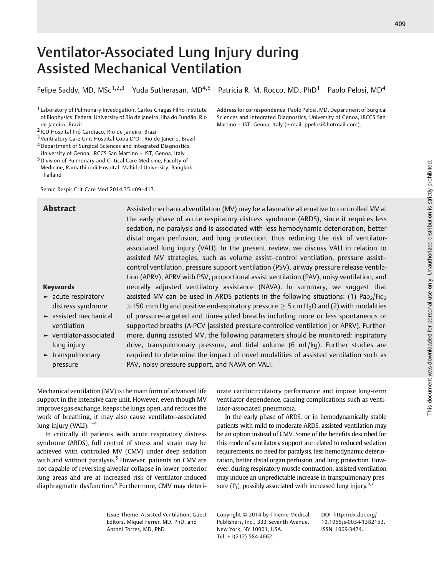# Ventilator-Associated Lung Injury during Assisted Mechanical Ventilation

Felipe Saddy, MD, MSc<sup>1,2,3</sup> Yuda Sutherasan, MD<sup>4,5</sup> Patricia R. M. Rocco, MD, PhD<sup>1</sup> Paolo Pelosi, MD<sup>4</sup>

<sup>1</sup> Laboratory of Pulmonary Investigation, Carlos Chagas Filho Institute of Biophysics, Federal University of Rio de Janeiro, Ilha do Fundão, Rio de Janeiro, Brazil

2 ICU Hospital Pró Cardíaco, Rio de Janeiro, Brazil

- 3Ventilatory Care Unit Hospital Copa D'Or, Rio de Janeiro, Brazil
- 4Department of Surgical Sciences and Integrated Diagnostics, University of Genoa, IRCCS San Martino – IST, Genoa, Italy
- 5Division of Pulmonary and Critical Care Medicine, Faculty of
- Medicine, Ramathibodi Hospital, Mahidol University, Bangkok, Thailand

Semin Respir Crit Care Med 2014;35:409–417.

Address for correspondence Paolo Pelosi, MD, Department of Surgical Sciences and Integrated Diagnostics, University of Genoa, IRCCS San Martino – IST, Genoa, Italy (e-mail: ppelosi@hotmail.com).

Keywords

► acute respiratory distress syndrome ► assisted mechanical ventilation ► ventilator-associated

lung injury ► transpulmonary pressure

Abstract Assisted mechanical ventilation (MV) may be a favorable alternative to controlled MV at the early phase of acute respiratory distress syndrome (ARDS), since it requires less sedation, no paralysis and is associated with less hemodynamic deterioration, better distal organ perfusion, and lung protection, thus reducing the risk of ventilatorassociated lung injury (VALI). In the present review, we discuss VALI in relation to assisted MV strategies, such as volume assist–control ventilation, pressure assist– control ventilation, pressure support ventilation (PSV), airway pressure release ventilation (APRV), APRV with PSV, proportional assist ventilation (PAV), noisy ventilation, and neurally adjusted ventilatory assistance (NAVA). In summary, we suggest that assisted MV can be used in ARDS patients in the following situations: (1)  $Pa_{O_2}/Fi_{O_2}$ >150 mm Hg and positive end-expiratory pressure  $\geq$  5 cm H<sub>2</sub>O and (2) with modalities of pressure-targeted and time-cycled breaths including more or less spontaneous or supported breaths (A-PCV [assisted pressure-controlled ventilation] or APRV). Furthermore, during assisted MV, the following parameters should be monitored: inspiratory drive, transpulmonary pressure, and tidal volume (6 mL/kg). Further studies are required to determine the impact of novel modalities of assisted ventilation such as PAV, noisy pressure support, and NAVA on VALI.

Mechanical ventilation (MV) is the main form of advanced life support in the intensive care unit. However, even though MV improves gas exchange, keeps the lungs open, and reduces the work of breathing, it may also cause ventilator-associated lung injury (VALI). $1-4$ 

In critically ill patients with acute respiratory distress syndrome (ARDS), full control of stress and strain may be achieved with controlled MV (CMV) under deep sedation with and without paralysis.<sup>5</sup> However, patients on CMV are not capable of reversing alveolar collapse in lower posterior lung areas and are at increased risk of ventilator-induced diaphragmatic dysfunction.<sup>6</sup> Furthermore, CMV may deteriorate cardiocirculatory performance and impose long-term ventilator dependence, causing complications such as ventilator-associated pneumonia.

In the early phase of ARDS, or in hemodynamically stable patients with mild to moderate ARDS, assisted ventilation may be an option instead of CMV. Some of the benefits described for this mode of ventilatory support are related to reduced sedation requirements, no need for paralysis, less hemodynamic deterioration, better distal organ perfusion, and lung protection. However, during respiratory muscle contraction, assisted ventilation may induce an unpredictable increase in transpulmonary pressure  $(P_1)$ , possibly associated with increased lung injury.<sup>5,7</sup>

Issue Theme Assisted Ventilation; Guest Editors, Miquel Ferrer, MD, PhD, and Antoni Torres, MD, PhD

Copyright © 2014 by Thieme Medical Publishers, Inc., 333 Seventh Avenue, New York, NY 10001, USA. Tel: +1(212) 584-4662.

DOI http://dx.doi.org/ 10.1055/s-0034-1382153. ISSN 1069-3424.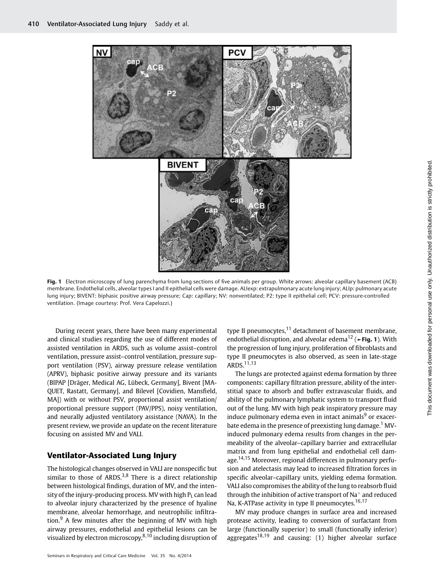

Fig. 1 Electron microscopy of lung parenchyma from lung sections of five animals per group. White arrows: alveolar capillary basement (ACB) membrane. Endothelial cells, alveolar types I and II epithelial cells were damage. ALIexp: extrapulmonary acute lung injury; ALIp: pulmonary acute lung injury; BIVENT: biphasic positive airway pressure; Cap: capillary; NV: nonventilated; P2: type II epithelial cell; PCV: pressure-controlled ventilation. (Image courtesy: Prof. Vera Capelozzi.)

During recent years, there have been many experimental and clinical studies regarding the use of different modes of assisted ventilation in ARDS, such as volume assist–control ventilation, pressure assist–control ventilation, pressure support ventilation (PSV), airway pressure release ventilation (APRV), biphasic positive airway pressure and its variants (BIPAP [Dräger, Medical AG, Lübeck, Germany], Bivent [MA-QUET, Rastatt, Germany], and Bilevel [Covidien, Mansfield, MA]) with or without PSV, proportional assist ventilation/ proportional pressure support (PAV/PPS), noisy ventilation, and neurally adjusted ventilatory assistance (NAVA). In the present review, we provide an update on the recent literature focusing on assisted MV and VALI.

# Ventilator-Associated Lung Injury

The histological changes observed in VALI are nonspecific but similar to those of ARDS.<sup>3,8</sup> There is a direct relationship between histological findings, duration of MV, and the intensity of the injury-producing process. MV with high  $P_1$  can lead to alveolar injury characterized by the presence of hyaline membrane, alveolar hemorrhage, and neutrophilic infiltration. $9$  A few minutes after the beginning of MV with high airway pressures, endothelial and epithelial lesions can be visualized by electron microscopy, $8,10$  including disruption of

type II pneumocytes, $11$  detachment of basement membrane, endothelial disruption, and alveolar edema<sup>12</sup> ( $\blacktriangleright$ **Fig. 1**). With the progression of lung injury, proliferation of fibroblasts and type II pneumocytes is also observed, as seen in late-stage ARDS. $11,13$ 

The lungs are protected against edema formation by three components: capillary filtration pressure, ability of the interstitial space to absorb and buffer extravascular fluids, and ability of the pulmonary lymphatic system to transport fluid out of the lung. MV with high peak inspiratory pressure may induce pulmonary edema even in intact animals<sup>9</sup> or exacerbate edema in the presence of preexisting lung damage.<sup>1</sup> MVinduced pulmonary edema results from changes in the permeability of the alveolar–capillary barrier and extracellular matrix and from lung epithelial and endothelial cell damage.<sup>14,15</sup> Moreover, regional differences in pulmonary perfusion and atelectasis may lead to increased filtration forces in specific alveolar–capillary units, yielding edema formation. VALI also compromises the ability of the lung to reabsorb fluid through the inhibition of active transport of  $Na<sup>+</sup>$  and reduced Na, K-ATPase activity in type II pneumocytes.<sup>16,17</sup>

MV may produce changes in surface area and increased protease activity, leading to conversion of surfactant from large (functionally superior) to small (functionally inferior) aggregates<sup>18,19</sup> and causing: (1) higher alveolar surface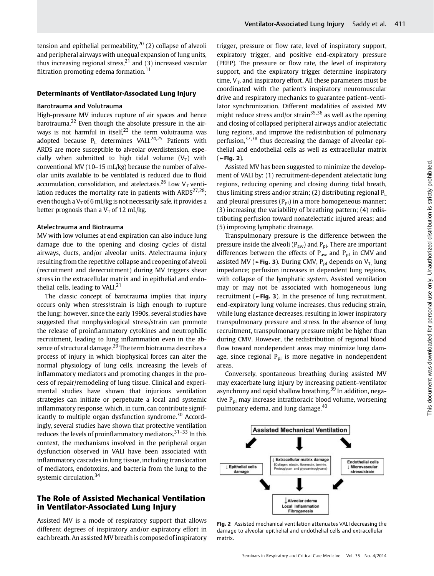tension and epithelial permeability,  $20$  (2) collapse of alveoli and peripheral airways with unequal expansion of lung units, thus increasing regional stress,  $2^1$  and (3) increased vascular filtration promoting edema formation.<sup>11</sup>

#### Determinants of Ventilator-Associated Lung Injury

#### Barotrauma and Volutrauma

High-pressure MV induces rupture of air spaces and hence barotrauma.<sup>22</sup> Even though the absolute pressure in the airways is not harmful in itself, $23$  the term volutrauma was adopted because  $P_L$  determines VALI.<sup>24,25</sup> Patients with ARDS are more susceptible to alveolar overdistension, especially when submitted to high tidal volume  $(V_T)$  with conventional MV (10–15 mL/kg) because the number of alveolar units available to be ventilated is reduced due to fluid accumulation, consolidation, and atelectasis.<sup>26</sup> Low V<sub>T</sub> ventilation reduces the mortality rate in patients with  $ARDS^{27,28}$ ; even though a  $V<sub>T</sub>$  of 6 mL/kg is not necessarily safe, it provides a better prognosis than a  $V_T$  of 12 mL/kg.

### Atelectrauma and Biotrauma

MV with low volumes at end expiration can also induce lung damage due to the opening and closing cycles of distal airways, ducts, and/or alveolar units. Atelectrauma injury resulting from the repetitive collapse and reopening of alveoli (recruitment and derecruitment) during MV triggers shear stress in the extracellular matrix and in epithelial and endothelial cells, leading to VALI.<sup>21</sup>

The classic concept of barotrauma implies that injury occurs only when stress/strain is high enough to rupture the lung; however, since the early 1990s, several studies have suggested that nonphysiological stress/strain can promote the release of proinflammatory cytokines and neutrophilic recruitment, leading to lung inflammation even in the absence of structural damage.<sup>29</sup> The term biotrauma describes a process of injury in which biophysical forces can alter the normal physiology of lung cells, increasing the levels of inflammatory mediators and promoting changes in the process of repair/remodeling of lung tissue. Clinical and experimental studies have shown that injurious ventilation strategies can initiate or perpetuate a local and systemic inflammatory response, which, in turn, can contribute significantly to multiple organ dysfunction syndrome.<sup>30</sup> Accordingly, several studies have shown that protective ventilation reduces the levels of proinflammatory mediators.<sup>31-33</sup> In this context, the mechanisms involved in the peripheral organ dysfunction observed in VALI have been associated with inflammatory cascades in lung tissue, including translocation of mediators, endotoxins, and bacteria from the lung to the systemic circulation.<sup>34</sup>

# The Role of Assisted Mechanical Ventilation in Ventilator-Associated Lung Injury

Assisted MV is a mode of respiratory support that allows different degrees of inspiratory and/or expiratory effort in each breath. An assisted MV breath is composed of inspiratory trigger, pressure or flow rate, level of inspiratory support, expiratory trigger, and positive end-expiratory pressure (PEEP). The pressure or flow rate, the level of inspiratory support, and the expiratory trigger determine inspiratory time,  $V_T$ , and inspiratory effort. All these parameters must be coordinated with the patient's inspiratory neuromuscular drive and respiratory mechanics to guarantee patient–ventilator synchronization. Different modalities of assisted MV might reduce stress and/or strain35,36 as well as the opening and closing of collapsed peripheral airways and/or atelectatic lung regions, and improve the redistribution of pulmonary perfusion,  $37,38$  thus decreasing the damage of alveolar epithelial and endothelial cells as well as extracellular matrix (►Fig. 2).

Assisted MV has been suggested to minimize the development of VALI by: (1) recruitment-dependent atelectatic lung regions, reducing opening and closing during tidal breath, thus limiting stress and/or strain; (2) distributing regional  $P_L$ and pleural pressures  $(P_{pl})$  in a more homogeneous manner; (3) increasing the variability of breathing pattern; (4) redistributing perfusion toward nonatelectatic injured areas; and (5) improving lymphatic drainage.

Transpulmonary pressure is the difference between the pressure inside the alveoli ( $P_{aw}$ ) and  $P_{pl}$ . There are important differences between the effects of  $P_{aw}$  and  $P_{pl}$  in CMV and assisted MV (►Fig. 3). During CMV, P<sub>pl</sub> depends on V<sub>T,</sub> lung impedance; perfusion increases in dependent lung regions, with collapse of the lymphatic system. Assisted ventilation may or may not be associated with homogeneous lung recruitment (►Fig. 3). In the presence of lung recruitment, end-expiratory lung volume increases, thus reducing strain, while lung elastance decreases, resulting in lower inspiratory transpulmonary pressure and stress. In the absence of lung recruitment, transpulmonary pressure might be higher than during CMV. However, the redistribution of regional blood flow toward nondependent areas may minimize lung damage, since regional  $P_{pl}$  is more negative in nondependent areas.

Conversely, spontaneous breathing during assisted MV may exacerbate lung injury by increasing patient–ventilator asynchrony and rapid shallow breathing.<sup>39</sup> In addition, negative  $P_{\text{pl}}$  may increase intrathoracic blood volume, worsening pulmonary edema, and lung damage.<sup>40</sup>



Fig. 2 Assisted mechanical ventilation attenuates VALI decreasing the damage to alveolar epithelial and endothelial cells and extracellular matrix.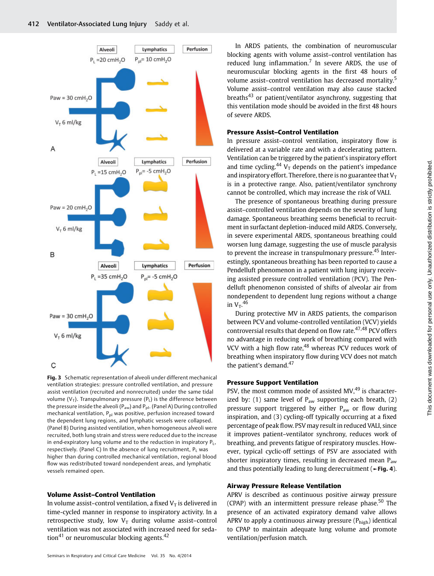

Fig. 3 Schematic representation of alveoli under different mechanical ventilation strategies: pressure controlled ventilation, and pressure assist ventilation (recruited and nonrecruited) under the same tidal volume ( $V_T$ ). Transpulmonary pressure ( $P_L$ ) is the difference between the pressure inside the alveoli ( $P_{\text{aw}}$ ) and  $P_{\text{pl}}$ . (Panel A) During controlled mechanical ventilation, P<sub>pl</sub> was positive, perfusion increased toward the dependent lung regions, and lymphatic vessels were collapsed. (Panel B) During assisted ventilation, when homogeneous alveoli were recruited, both lung strain and stress were reduced due to the increase in end-expiratory lung volume and to the reduction in inspiratory  $P_L$ , respectively. (Panel C) In the absence of lung recruitment,  $P_1$  was higher than during controlled mechanical ventilation, regional blood flow was redistributed toward nondependent areas, and lymphatic vessels remained open.

#### Volume Assist–Control Ventilation

In volume assist–control ventilation, a fixed  $V<sub>T</sub>$  is delivered in time-cycled manner in response to inspiratory activity. In a retrospective study, low  $V_T$  during volume assist-control ventilation was not associated with increased need for sedation<sup>41</sup> or neuromuscular blocking agents.<sup>42</sup>

In ARDS patients, the combination of neuromuscular blocking agents with volume assist–control ventilation has reduced lung inflammation.<sup>7</sup> In severe ARDS, the use of neuromuscular blocking agents in the first 48 hours of volume assist–control ventilation has decreased mortality.<sup>5</sup> Volume assist–control ventilation may also cause stacked breaths<sup>43</sup> or patient/ventilator asynchrony, suggesting that this ventilation mode should be avoided in the first 48 hours of severe ARDS.

### Pressure Assist–Control Ventilation

In pressure assist–control ventilation, inspiratory flow is delivered at a variable rate and with a decelerating pattern. Ventilation can be triggered by the patient's inspiratory effort and time cycling.<sup>44</sup> V<sub>T</sub> depends on the patient's impedance and inspiratory effort. Therefore, there is no guarantee that  $V_T$ is in a protective range. Also, patient/ventilator synchrony cannot be controlled, which may increase the risk of VALI.

The presence of spontaneous breathing during pressure assist–controlled ventilation depends on the severity of lung damage. Spontaneous breathing seems beneficial to recruitment in surfactant depletion-induced mild ARDS. Conversely, in severe experimental ARDS, spontaneous breathing could worsen lung damage, suggesting the use of muscle paralysis to prevent the increase in transpulmonary pressure.<sup>45</sup> Interestingly, spontaneous breathing has been reported to cause a Pendelluft phenomenon in a patient with lung injury receiving assisted pressure controlled ventilation (PCV). The Pendelluft phenomenon consisted of shifts of alveolar air from nondependent to dependent lung regions without a change in  $V_T$ .<sup>46</sup>

During protective MV in ARDS patients, the comparison between PCV and volume-controlled ventilation (VCV) yields controversial results that depend on flow rate. $47,48$  PCV offers no advantage in reducing work of breathing compared with VCV with a high flow rate, $48$  whereas PCV reduces work of breathing when inspiratory flow during VCV does not match the patient's demand. $47$ 

#### Pressure Support Ventilation

PSV, the most common mode of assisted MV,<sup>49</sup> is characterized by: (1) same level of  $P_{aw}$  supporting each breath, (2) pressure support triggered by either  $P_{aw}$  or flow during inspiration, and (3) cycling-off typically occurring at a fixed percentage of peak flow. PSV may result in reduced VALI, since it improves patient–ventilator synchrony, reduces work of breathing, and prevents fatigue of respiratory muscles. However, typical cyclic-off settings of PSV are associated with shorter inspiratory times, resulting in decreased mean  $P_{aw}$ and thus potentially leading to lung derecruitment (►Fig. 4).

### Airway Pressure Release Ventilation

APRV is described as continuous positive airway pressure (CPAP) with an intermittent pressure release phase.<sup>50</sup> The presence of an activated expiratory demand valve allows APRV to apply a continuous airway pressure  $(P_{\text{high}})$  identical to CPAP to maintain adequate lung volume and promote ventilation/perfusion match.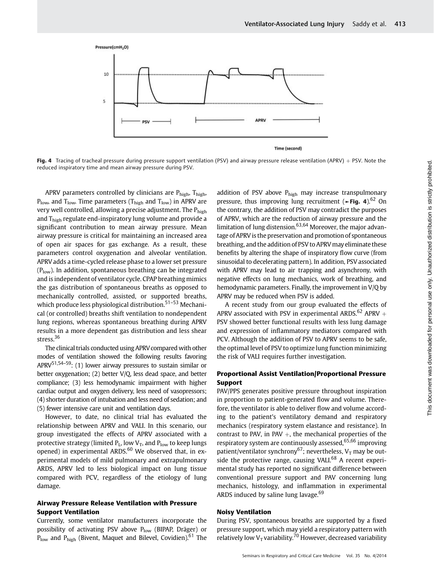

Fig. 4 Tracing of tracheal pressure during pressure support ventilation (PSV) and airway pressure release ventilation (APRV) + PSV. Note the reduced inspiratory time and mean airway pressure during PSV.

APRV parameters controlled by clinicians are  $P_{high}$ ,  $T_{high}$ ,  $P_{\text{low}}$ , and  $T_{\text{low}}$ . Time parameters ( $T_{\text{high}}$  and  $T_{\text{low}}$ ) in APRV are very well controlled, allowing a precise adjustment. The Phigh and  $T<sub>high</sub>$  regulate end-inspiratory lung volume and provide a significant contribution to mean airway pressure. Mean airway pressure is critical for maintaining an increased area of open air spaces for gas exchange. As a result, these parameters control oxygenation and alveolar ventilation. APRV adds a time-cycled release phase to a lower set pressure  $(P_{low})$ . In addition, spontaneous breathing can be integrated and is independent of ventilator cycle. CPAP breathing mimics the gas distribution of spontaneous breaths as opposed to mechanically controlled, assisted, or supported breaths, which produce less physiological distribution.<sup>51–53</sup> Mechanical (or controlled) breaths shift ventilation to nondependent lung regions, whereas spontaneous breathing during APRV results in a more dependent gas distribution and less shear stress.<sup>36</sup>

The clinical trials conducted using APRV compared with other modes of ventilation showed the following results favoring APRV<sup>51,54–59</sup>: (1) lower airway pressures to sustain similar or better oxygenation; (2) better V/Q, less dead space, and better compliance; (3) less hemodynamic impairment with higher cardiac output and oxygen delivery, less need of vasopressors; (4) shorter duration of intubation and less need of sedation; and (5) fewer intensive care unit and ventilation days.

However, to date, no clinical trial has evaluated the relationship between APRV and VALI. In this scenario, our group investigated the effects of APRV associated with a protective strategy (limited  $P_L$ , low  $V_T$ , and  $P_{low}$  to keep lungs opened) in experimental ARDS. $60$  We observed that, in experimental models of mild pulmonary and extrapulmonary ARDS, APRV led to less biological impact on lung tissue compared with PCV, regardless of the etiology of lung damage.

## Airway Pressure Release Ventilation with Pressure Support Ventilation

Currently, some ventilator manufacturers incorporate the possibility of activating PSV above  $P_{low}$  (BIPAP, Dräger) or  $P_{\text{low}}$  and  $P_{\text{high}}$  (Bivent, Maquet and Bilevel, Covidien).<sup>61</sup> The addition of PSV above  $P_{high}$  may increase transpulmonary pressure, thus improving lung recruitment ( $\blacktriangleright$ Fig. 4).<sup>62</sup> On the contrary, the addition of PSV may contradict the purposes of APRV, which are the reduction of airway pressure and the limitation of lung distension. $63,64$  Moreover, the major advantage of APRV is the preservation and promotion of spontaneous breathing, and the addition of PSV to APRV may eliminate these benefits by altering the shape of inspiratory flow curve (from sinusoidal to decelerating pattern). In addition, PSV associated with APRV may lead to air trapping and asynchrony, with negative effects on lung mechanics, work of breathing, and hemodynamic parameters. Finally, the improvement in V/Q by APRV may be reduced when PSV is added.

A recent study from our group evaluated the effects of APRV associated with PSV in experimental ARDS.<sup>62</sup> APRV  $+$ PSV showed better functional results with less lung damage and expression of inflammatory mediators compared with PCV. Although the addition of PSV to APRV seems to be safe, the optimal level of PSV to optimize lung function minimizing the risk of VALI requires further investigation.

# Proportional Assist Ventilation/Proportional Pressure Support

PAV/PPS generates positive pressure throughout inspiration in proportion to patient-generated flow and volume. Therefore, the ventilator is able to deliver flow and volume according to the patient's ventilatory demand and respiratory mechanics (respiratory system elastance and resistance). In contrast to PAV, in PAV  $+$ , the mechanical properties of the respiratory system are continuously assessed,65,66 improving patient/ventilator synchrony<sup>67</sup>; nevertheless,  $V<sub>T</sub>$  may be outside the protective range, causing VALI. $68$  A recent experimental study has reported no significant difference between conventional pressure support and PAV concerning lung mechanics, histology, and inflammation in experimental ARDS induced by saline lung lavage. $69$ 

#### Noisy Ventilation

During PSV, spontaneous breaths are supported by a fixed pressure support, which may yield a respiratory pattern with relatively low  $V_T$  variability.<sup>70</sup> However, decreased variability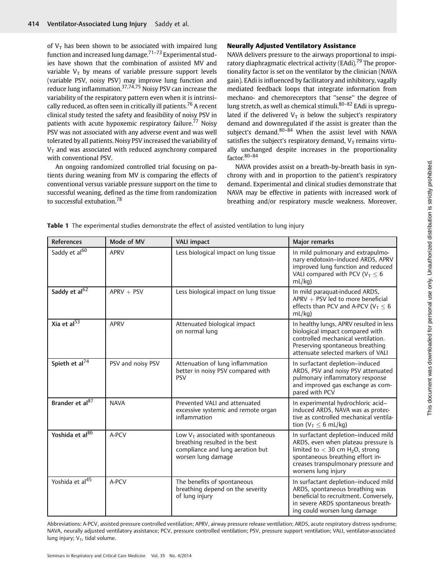of  $V_T$  has been shown to be associated with impaired lung function and increased lung damage.71–<sup>73</sup> Experimental studies have shown that the combination of assisted MV and variable  $V_T$  by means of variable pressure support levels (variable PSV, noisy PSV) may improve lung function and reduce lung inflammation.<sup>37,74,75</sup> Noisy PSV can increase the variability of the respiratory pattern even when it is intrinsically reduced, as often seen in critically ill patients.<sup>76</sup> A recent clinical study tested the safety and feasibility of noisy PSV in patients with acute hypoxemic respiratory failure.<sup>77</sup> Noisy PSV was not associated with any adverse event and was well tolerated by all patients. Noisy PSV increased the variability of  $V<sub>T</sub>$  and was associated with reduced asynchrony compared with conventional PSV.

An ongoing randomized controlled trial focusing on patients during weaning from MV is comparing the effects of conventional versus variable pressure support on the time to successful weaning, defined as the time from randomization to successful extubation.<sup>78</sup>

# Neurally Adjusted Ventilatory Assistance

NAVA delivers pressure to the airways proportional to inspiratory diaphragmatic electrical activity (EAdi).<sup>79</sup> The proportionality factor is set on the ventilator by the clinician (NAVA gain). EAdi is influenced by facilitatory and inhibitory, vagally mediated feedback loops that integrate information from mechano- and chemoreceptors that ''sense'' the degree of lung stretch, as well as chemical stimuli.<sup>80-82</sup> EAdi is upregulated if the delivered  $V_T$  is below the subject's respiratory demand and downregulated if the assist is greater than the subject's demand. $80-\overline{84}$  When the assist level with NAVA satisfies the subject's respiratory demand,  $V_T$  remains virtually unchanged despite increases in the proportionality factor. 80-84

NAVA provides assist on a breath-by-breath basis in synchrony with and in proportion to the patient's respiratory demand. Experimental and clinical studies demonstrate that NAVA may be effective in patients with increased work of breathing and/or respiratory muscle weakness. Moreover,

| <b>References</b>           | Mode of MV        | <b>VALI impact</b>                                                                                                               | Major remarks                                                                                                                                                                                                                  |
|-----------------------------|-------------------|----------------------------------------------------------------------------------------------------------------------------------|--------------------------------------------------------------------------------------------------------------------------------------------------------------------------------------------------------------------------------|
| Saddy et al <sup>60</sup>   | <b>APRV</b>       | Less biological impact on lung tissue                                                                                            | In mild pulmonary and extrapulmo-<br>nary endotoxin-induced ARDS, APRV<br>improved lung function and reduced<br>VALI compared with PCV ( $V_T \le 6$<br>mL/kg                                                                  |
| Saddy et al <sup>62</sup>   | $APRV + PSV$      | Less biological impact on lung tissue                                                                                            | In mild paraquat-induced ARDS,<br>$APRV + PSV$ led to more beneficial<br>effects than PCV and A-PCV ( $V_T \le 6$<br>mL/kg                                                                                                     |
| Xia et al $\overline{53}$   | <b>APRV</b>       | Attenuated biological impact<br>on normal lung                                                                                   | In healthy lungs, APRV resulted in less<br>biological impact compared with<br>controlled mechanical ventilation.<br>Preserving spontaneous breathing<br>attenuate selected markers of VALI                                     |
| Spieth et al <sup>74</sup>  | PSV and noisy PSV | Attenuation of lung inflammation<br>better in noisy PSV compared with<br><b>PSV</b>                                              | In surfactant depletion-induced<br>ARDS, PSV and noisy PSV attenuated<br>pulmonary inflammatory response<br>and improved gas exchange as com-<br>pared with PCV                                                                |
| Brander et al <sup>87</sup> | <b>NAVA</b>       | Prevented VALI and attenuated<br>excessive systemic and remote organ<br>inflammation                                             | In experimental hydrochloric acid-<br>induced ARDS, NAVA was as protec-<br>tive as controlled mechanical ventila-<br>tion ( $V_T < 6$ mL/kg)                                                                                   |
| Yoshida et al <sup>86</sup> | A-PCV             | Low $VT$ associated with spontaneous<br>breathing resulted in the best<br>compliance and lung aeration but<br>worsen lung damage | In surfactant depletion-induced mild<br>ARDS, even when plateau pressure is<br>limited to $<$ 30 cm H <sub>2</sub> O, strong<br>spontaneous breathing effort in-<br>creases transpulmonary pressure and<br>worsens lung injury |
| Yoshida et al <sup>45</sup> | A-PCV             | The benefits of spontaneous<br>breathing depend on the severity<br>of lung injury                                                | In surfactant depletion-induced mild<br>ARDS, spontaneous breathing was<br>beneficial to recruitment. Conversely,<br>in severe ARDS spontaneous breath-<br>ing could worsen lung damage                                        |

Table 1 The experimental studies demonstrate the effect of assisted ventilation to lung injury

Abbreviations: A-PCV, assisted pressure controlled ventilation; APRV, airway pressure release ventilation; ARDS, acute respiratory distress syndrome; NAVA, neurally adjusted ventilatory assistance; PCV, pressure controlled ventilation; PSV, pressure support ventilation; VALI, ventilator-associated lung injury;  $V_T$ , tidal volume.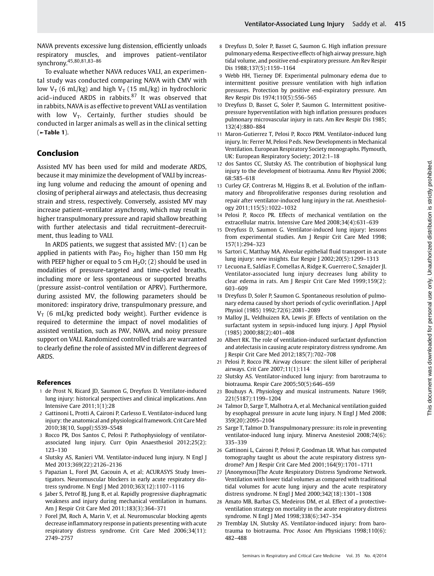NAVA prevents excessive lung distension, efficiently unloads respiratory muscles, and improves patient–ventilator synchrony.<sup>45,80,81,83–86</sup>

To evaluate whether NAVA reduces VALI, an experimental study was conducted comparing NAVA with CMV with low  $V_T$  (6 mL/kg) and high  $V_T$  (15 mL/kg) in hydrochloric acid–induced ARDS in rabbits. $87$  It was observed that in rabbits, NAVA is as effective to prevent VALI as ventilation with low  $V_T$ . Certainly, further studies should be conducted in larger animals as well as in the clinical setting  $($   $\blacktriangleright$  Table 1).

# Conclusion

Assisted MV has been used for mild and moderate ARDS, because it may minimize the development of VALI by increasing lung volume and reducing the amount of opening and closing of peripheral airways and atelectasis, thus decreasing strain and stress, respectively. Conversely, assisted MV may increase patient–ventilator asynchrony, which may result in higher transpulmonary pressure and rapid shallow breathing with further atelectasis and tidal recruitment–derecruitment, thus leading to VALI.

In ARDS patients, we suggest that assisted MV: (1) can be applied in patients with Pa $o_2$  Fi $o_2$  higher than 150 mm Hg with PEEP higher or equal to 5 cm  $H_2O$ ; (2) should be used in modalities of pressure-targeted and time-cycled breaths, including more or less spontaneous or supported breaths (pressure assist–control ventilation or APRV). Furthermore, during assisted MV, the following parameters should be monitored: inspiratory drive, transpulmonary pressure, and  $V_T$  (6 mL/kg predicted body weight). Further evidence is required to determine the impact of novel modalities of assisted ventilation, such as PAV, NAVA, and noisy pressure support on VALI. Randomized controlled trials are warranted to clearly define the role of assisted MV in different degrees of ARDS.

#### References

- 1 de Prost N, Ricard JD, Saumon G, Dreyfuss D. Ventilator-induced lung injury: historical perspectives and clinical implications. Ann Intensive Care 2011;1(1):28
- 2 Gattinoni L, Protti A, Caironi P, Carlesso E. Ventilator-induced lung injury: the anatomical and physiological framework. Crit Care Med 2010;38(10, Suppl):S539–S548
- 3 Rocco PR, Dos Santos C, Pelosi P. Pathophysiology of ventilatorassociated lung injury. Curr Opin Anaesthesiol 2012;25(2): 123–130
- 4 Slutsky AS, Ranieri VM. Ventilator-induced lung injury. N Engl J Med 2013;369(22):2126–2136
- 5 Papazian L, Forel JM, Gacouin A, et al; ACURASYS Study Investigators. Neuromuscular blockers in early acute respiratory distress syndrome. N Engl J Med 2010;363(12):1107–1116
- 6 Jaber S, Petrof BJ, Jung B, et al. Rapidly progressive diaphragmatic weakness and injury during mechanical ventilation in humans. Am J Respir Crit Care Med 2011;183(3):364–371
- 7 Forel JM, Roch A, Marin V, et al. Neuromuscular blocking agents decrease inflammatory response in patients presenting with acute respiratory distress syndrome. Crit Care Med 2006;34(11): 2749–2757
- 8 Dreyfuss D, Soler P, Basset G, Saumon G. High inflation pressure pulmonary edema. Respective effects of high airway pressure, high tidal volume, and positive end-expiratory pressure. Am Rev Respir Dis 1988;137(5):1159–1164
- 9 Webb HH, Tierney DF. Experimental pulmonary edema due to intermittent positive pressure ventilation with high inflation pressures. Protection by positive end-expiratory pressure. Am Rev Respir Dis 1974;110(5):556–565
- 10 Dreyfuss D, Basset G, Soler P, Saumon G. Intermittent positivepressure hyperventilation with high inflation pressures produces pulmonary microvascular injury in rats. Am Rev Respir Dis 1985; 132(4):880–884
- 11 Maron-Gutierrez T, Pelosi P, Rocco PRM. Ventilator-induced lung injury. In: Ferrer M, Pelosi P eds. New Developments in Mechanical Ventilation. European Respiratory Society monographs. Plymouth, UK: European Respiratory Society; 2012:1–18
- 12 dos Santos CC, Slutsky AS. The contribution of biophysical lung injury to the development of biotrauma. Annu Rev Physiol 2006; 68:585–618
- 13 Curley GF, Contreras M, Higgins B, et al. Evolution of the inflammatory and fibroproliferative responses during resolution and repair after ventilator-induced lung injury in the rat. Anesthesiology 2011;115(5):1022–1032
- 14 Pelosi P, Rocco PR. Effects of mechanical ventilation on the extracellular matrix. Intensive Care Med 2008;34(4):631–639
- 15 Dreyfuss D, Saumon G. Ventilator-induced lung injury: lessons from experimental studies. Am J Respir Crit Care Med 1998; 157(1):294–323
- 16 Sartori C, Matthay MA. Alveolar epithelial fluid transport in acute lung injury: new insights. Eur Respir J 2002;20(5):1299–1313
- 17 Lecuona E, Saldías F, Comellas A, Ridge K, Guerrero C, Sznajder JI. Ventilator-associated lung injury decreases lung ability to clear edema in rats. Am J Respir Crit Care Med 1999;159(2): 603–609
- 18 Dreyfuss D, Soler P, Saumon G. Spontaneous resolution of pulmonary edema caused by short periods of cyclic overinflation. J Appl Physiol (1985) 1992;72(6):2081–2089
- 19 Malloy JL, Veldhuizen RA, Lewis JF. Effects of ventilation on the surfactant system in sepsis-induced lung injury. J Appl Physiol (1985) 2000;88(2):401–408
- 20 Albert RK. The role of ventilation-induced surfactant dysfunction and atelectasis in causing acute respiratory distress syndrome. Am J Respir Crit Care Med 2012;185(7):702–708
- 21 Pelosi P, Rocco PR. Airway closure: the silent killer of peripheral airways. Crit Care 2007;11(1):114
- 22 Slutsky AS. Ventilator-induced lung injury: from barotrauma to biotrauma. Respir Care 2005;50(5):646–659
- 23 Bouhuys A. Physiology and musical instruments. Nature 1969; 221(5187):1199–1204
- 24 Talmor D, Sarge T, Malhotra A, et al. Mechanical ventilation guided by esophageal pressure in acute lung injury. N Engl J Med 2008; 359(20):2095–2104
- 25 Sarge T, Talmor D. Transpulmonary pressure: its role in preventing ventilator-induced lung injury. Minerva Anestesiol 2008;74(6): 335–339
- 26 Gattinoni L, Caironi P, Pelosi P, Goodman LR. What has computed tomography taught us about the acute respiratory distress syndrome? Am J Respir Crit Care Med 2001;164(9):1701–1711
- 27 [Anonymous]The Acute Respiratory Distress Syndrome Network. Ventilation with lower tidal volumes as compared with traditional tidal volumes for acute lung injury and the acute respiratory distress syndrome. N Engl J Med 2000;342(18):1301–1308
- 28 Amato MB, Barbas CS, Medeiros DM, et al. Effect of a protectiveventilation strategy on mortality in the acute respiratory distress syndrome. N Engl J Med 1998;338(6):347–354
- 29 Tremblay LN, Slutsky AS. Ventilator-induced injury: from barotrauma to biotrauma. Proc Assoc Am Physicians 1998;110(6): 482–488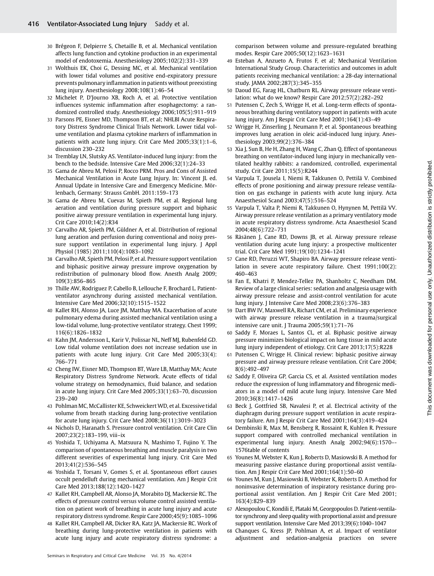- 30 Brégeon F, Delpierre S, Chetaille B, et al. Mechanical ventilation affects lung function and cytokine production in an experimental model of endotoxemia. Anesthesiology 2005;102(2):331–339
- 31 Wolthuis EK, Choi G, Dessing MC, et al. Mechanical ventilation with lower tidal volumes and positive end-expiratory pressure prevents pulmonary inflammation in patients without preexisting lung injury. Anesthesiology 2008;108(1):46–54
- 32 Michelet P, D'Journo XB, Roch A, et al. Protective ventilation influences systemic inflammation after esophagectomy: a randomized controlled study. Anesthesiology 2006;105(5):911–919
- 33 Parsons PE, Eisner MD, Thompson BT, et al; NHLBI Acute Respiratory Distress Syndrome Clinical Trials Network. Lower tidal volume ventilation and plasma cytokine markers of inflammation in patients with acute lung injury. Crit Care Med 2005;33(1):1–6, discussion 230–232
- 34 Tremblay LN, Slutsky AS. Ventilator-induced lung injury: from the bench to the bedside. Intensive Care Med 2006;32(1):24–33
- 35 Gama de Abreu M, Pelosi P, Rocco PRM. Pros and Cons of Assisted Mechanical Ventilation in Acute Lung Injury. In: Vincent JL ed. Annual Update in Intensive Care and Emergency Medicine. Mörlenbach, Germany: Strauss GmbH. 2011:159–173
- 36 Gama de Abreu M, Cuevas M, Spieth PM, et al. Regional lung aeration and ventilation during pressure support and biphasic positive airway pressure ventilation in experimental lung injury. Crit Care 2010;14(2):R34
- 37 Carvalho AR, Spieth PM, Güldner A, et al. Distribution of regional lung aeration and perfusion during conventional and noisy pressure support ventilation in experimental lung injury. J Appl Physiol (1985) 2011;110(4):1083–1092
- 38 Carvalho AR, Spieth PM, Pelosi P, et al. Pressure support ventilation and biphasic positive airway pressure improve oxygenation by redistribution of pulmonary blood flow. Anesth Analg 2009; 109(3):856–865
- 39 Thille AW, Rodriguez P, Cabello B, Lellouche F, Brochard L. Patientventilator asynchrony during assisted mechanical ventilation. Intensive Care Med 2006;32(10):1515–1522
- 40 Kallet RH, Alonso JA, Luce JM, Matthay MA. Exacerbation of acute pulmonary edema during assisted mechanical ventilation using a low-tidal volume, lung-protective ventilator strategy. Chest 1999; 116(6):1826–1832
- 41 Kahn JM, Andersson L, Karir V, Polissar NL, Neff MJ, Rubenfeld GD. Low tidal volume ventilation does not increase sedation use in patients with acute lung injury. Crit Care Med 2005;33(4): 766–771
- 42 Cheng IW, Eisner MD, Thompson BT, Ware LB, Matthay MA; Acute Respiratory Distress Syndrome Network. Acute effects of tidal volume strategy on hemodynamics, fluid balance, and sedation in acute lung injury. Crit Care Med 2005;33(1):63–70, discussion 239–240
- 43 Pohlman MC, McCallister KE, Schweickert WD, et al. Excessive tidal volume from breath stacking during lung-protective ventilation for acute lung injury. Crit Care Med 2008;36(11):3019–3023
- 44 Nichols D, Haranath S. Pressure control ventilation. Crit Care Clin 2007;23(2):183–199, viii–ix
- 45 Yoshida T, Uchiyama A, Matsuura N, Mashimo T, Fujino Y. The comparison of spontaneous breathing and muscle paralysis in two different severities of experimental lung injury. Crit Care Med 2013;41(2):536–545
- 46 Yoshida T, Torsani V, Gomes S, et al. Spontaneous effort causes occult pendelluft during mechanical ventilation. Am J Respir Crit Care Med 2013;188(12):1420–1427
- 47 Kallet RH, Campbell AR, Alonso JA, Morabito DJ, Mackersie RC. The effects of pressure control versus volume control assisted ventilation on patient work of breathing in acute lung injury and acute respiratory distress syndrome. Respir Care 2000;45(9):1085–1096
- 48 Kallet RH, Campbell AR, Dicker RA, Katz JA, Mackersie RC. Work of breathing during lung-protective ventilation in patients with acute lung injury and acute respiratory distress syndrome: a

comparison between volume and pressure-regulated breathing modes. Respir Care 2005;50(12):1623–1631

- 49 Esteban A, Anzueto A, Frutos F, et al; Mechanical Ventilation International Study Group. Characteristics and outcomes in adult patients receiving mechanical ventilation: a 28-day international study. JAMA 2002;287(3):345–355
- 50 Daoud EG, Farag HL, Chatburn RL. Airway pressure release ventilation: what do we know? Respir Care 2012;57(2):282–292
- 51 Putensen C, Zech S, Wrigge H, et al. Long-term effects of spontaneous breathing during ventilatory support in patients with acute lung injury. Am J Respir Crit Care Med 2001;164(1):43–49
- 52 Wrigge H, Zinserling J, Neumann P, et al. Spontaneous breathing improves lung aeration in oleic acid-induced lung injury. Anesthesiology 2003;99(2):376–384
- 53 Xia J, Sun B, He H, Zhang H, Wang C, Zhan Q. Effect of spontaneous breathing on ventilator-induced lung injury in mechanically ventilated healthy rabbits: a randomized, controlled, experimental study. Crit Care 2011;15(5):R244
- 54 Varpula T, Jousela I, Niemi R, Takkunen O, Pettilä V. Combined effects of prone positioning and airway pressure release ventilation on gas exchange in patients with acute lung injury. Acta Anaesthesiol Scand 2003;47(5):516–524
- 55 Varpula T, Valta P, Niemi R, Takkunen O, Hynynen M, Pettilä VV. Airway pressure release ventilation as a primary ventilatory mode in acute respiratory distress syndrome. Acta Anaesthesiol Scand 2004;48(6):722–731
- 56 Räsänen J, Cane RD, Downs JB, et al. Airway pressure release ventilation during acute lung injury: a prospective multicenter trial. Crit Care Med 1991;19(10):1234–1241
- 57 Cane RD, Peruzzi WT, Shapiro BA. Airway pressure release ventilation in severe acute respiratory failure. Chest 1991;100(2): 460–463
- 58 Fan E, Khatri P, Mendez-Tellez PA, Shanholtz C, Needham DM. Review of a large clinical series: sedation and analgesia usage with airway pressure release and assist-control ventilation for acute lung injury. J Intensive Care Med 2008;23(6):376–383
- 59 Dart BW IV, Maxwell RA, Richart CM, et al. Preliminary experience with airway pressure release ventilation in a trauma/surgical intensive care unit. J Trauma 2005;59(1):71–76
- 60 Saddy F, Moraes L, Santos CL, et al. Biphasic positive airway pressure minimizes biological impact on lung tissue in mild acute lung injury independent of etiology. Crit Care 2013;17(5):R228
- 61 Putensen C, Wrigge H. Clinical review: biphasic positive airway pressure and airway pressure release ventilation. Crit Care 2004; 8(6):492–497
- 62 Saddy F, Oliveira GP, Garcia CS, et al. Assisted ventilation modes reduce the expression of lung inflammatory and fibrogenic mediators in a model of mild acute lung injury. Intensive Care Med 2010;36(8):1417–1426
- 63 Beck J, Gottfried SB, Navalesi P, et al. Electrical activity of the diaphragm during pressure support ventilation in acute respiratory failure. Am J Respir Crit Care Med 2001;164(3):419–424
- 64 Dembinski R, Max M, Bensberg R, Rossaint R, Kuhlen R. Pressure support compared with controlled mechanical ventilation in experimental lung injury. Anesth Analg 2002;94(6):1570–- 1576table of contents
- 65 Younes M, Webster K, Kun J, Roberts D, Masiowski B. A method for measuring passive elastance during proportional assist ventilation. Am J Respir Crit Care Med 2001;164(1):50–60
- Younes M, Kun J, Masiowski B, Webster K, Roberts D. A method for noninvasive determination of inspiratory resistance during proportional assist ventilation. Am J Respir Crit Care Med 2001; 163(4):829–839
- 67 Alexopoulou C, Kondili E, Plataki M, Georgopoulos D. Patient-ventilator synchrony and sleep quality with proportional assist and pressure support ventilation. Intensive Care Med 2013;39(6):1040–1047
- 68 Chanques G, Kress JP, Pohlman A, et al. Impact of ventilator adjustment and sedation-analgesia practices on severe